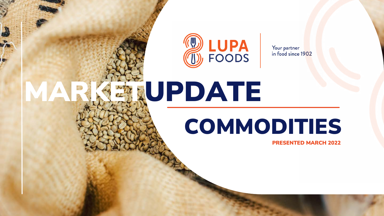## PRESENTED MARCH 2022 COMMODITIES



Your partner<br>in food since 1902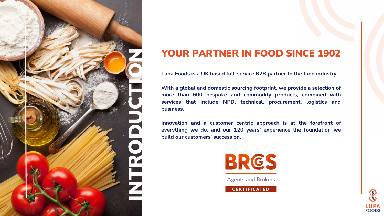## YOUR PARTNER IN FOOD SINCE 1902

**Lupa Foods is a UK based full-service B2B partner to the food industry.**

**With a global and domestic sourcing footprint, we provide a selection of more than 600 bespoke and commodity products, combined with services that include NPD, technical, procurement, logistics and business.**

**Innovation and a customer centric approach is at the forefront of everything we do, and our 120 years' experience the foundation we build our customers' success on.**







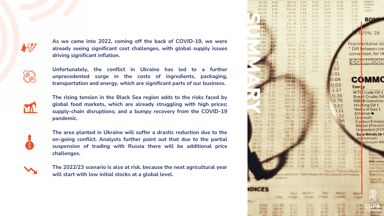

**As we came into 2022, coming off the back of COVID-19, we were already seeing significant cost challenges, with global supply issues driving significant inflation.**



**Unfortunately, the conflict in Ukraine has led to a further unprecedented surge in the costs of ingredients, packaging, transportation and energy, which are significant parts of our business.**



**The rising tension in the Black Sea region adds to the risks faced by global food markets, which are already struggling with high prices; supply-chain disruptions; and a bumpy recovery from the COVID-19 pandemic.**



**The area planted in Ukraine will suffer a drastic reduction due to the on-going conflict. Analysts further point out that due to the partial suspension of trading with Russia there will be additional price challenges.**



**The 2022/23 scenario is also at risk, because the next agricultural year will start with low initial stocks at a global level.**

| 11/13          | 5.00                          | 107.11             | 2.07     | 0.11            | 0.11        | 0.26              | 0.87               | Greece<br>Ireland      |
|----------------|-------------------------------|--------------------|----------|-----------------|-------------|-------------------|--------------------|------------------------|
| 11/19          | 4.00                          | 105.60             | 3.24     | 0.04            | 0.12        | 0.20              | 0.17               | Italy.                 |
| 09/12          | 4.25                          | 103.45             | 1.64     | 0.14            | 0.04        | 0.04              | 0.74               | Japan                  |
| 04/20          | 3.38                          | 99.62              | 3.43     | 0.02            | 0.08        | 0.17              | 0.27               |                        |
| 1/13           | 3.75                          | 103.25             | 1.77     | 0.09            | 0.06        | 0.11              | 108                |                        |
| 2/16           | 2.25                          | 97.32              | 285      | 0.07            | 012         | 0.11              | 0.85               | во                     |
| 04/21          | 3.75                          | 101.34             | 3.59     | 0.01            | 0.09        | 0.13              | 0.36               |                        |
| 1/41           | 4.50                          | 106.15             | 4.14     | 0.02            | 0.06        | 0.07              |                    |                        |
| 03/13          | 150                           | 99.52              | 177      | 0.10            | 0.05        | 0.06              |                    | 25% 28                 |
| 1/16           | 2.75                          | 100.80             | 2.57     | 0.09            | 0.12        | 0.11              |                    |                        |
| 07/21          | 3.25                          | 100.23             | 3.22     | 0.04            | 0.08        | 0.15              |                    |                        |
| 7/40           | 4.75                          | 117.72             | 3.74     | 0.00            | 0.07        |                   |                    |                        |
| 05/14          | 4.50                          | 60.51              | 24.43    | 0.48            | 0.59        |                   |                    | Representative sto     |
| 06/20          | 6.25                          | 55.49              | 16.76    | 0.33            | 0.60        |                   |                    | * Diff between cor     |
| /16            | 4.60                          | 75.09              | 11 48    | 0.54            | 0.44        |                   |                    | convention, for UK     |
| 10/20          | 5.00                          | 68<br>38           | 10 41    | 0.18            | 0:34        |                   |                    |                        |
|                | 2.00                          | 98.15              | 2.95     | 0.05            |             |                   | 30.8               | <b>MMOD</b>            |
| 0.1716         | 3.75                          | 99.21              | 3.97     | 0.00            |             |                   |                    |                        |
| 21             | 3.75                          | 93.01              | 4.70     | D.00            |             | .02               |                    |                        |
| 40             | <b>SUDO</b>                   | 93.05              | 6.66     | 0.01            |             |                   |                    |                        |
| 05/13          | 0.20                          | 100 01             | 0.20     |                 |             | 0.01              |                    |                        |
| 16             | 0.60                          | 100 19             | 0.46     |                 |             | 0.09              |                    | <b>COMMO</b>           |
|                | <b>PRO</b>                    | 100 86             | 1.20     |                 |             |                   |                    |                        |
|                | 2.00                          | 99.62              | 2.03     |                 |             | $-0.03$           | Ener ty            |                        |
|                | 25                            | 104.93             | 192      | 0.09            |             | 1.27              |                    |                        |
|                | 25                            | 97 89              | 3.50     | 0.05            |             |                   |                    | WTI Crude Oil +        |
|                | 6.50                          | $20 - 40$<br>43.31 | 1.76     | 0.10            | £3          | 0.35              |                    | <b>Brent Crude Oil</b> |
|                | 6.00                          | 43                 | 30<br>s. | 0.18            |             | $-0.70$           |                    | <b>RBOB</b> Gasoline   |
|                | 5.00                          | 72<br>10.7         | 2.93     | <b>DD6</b>      |             |                   |                    |                        |
|                | 75                            | 28                 | 8.6      | 0.01            | <b>ISLA</b> | 0.67              |                    | Heating Oil +          |
|                | 4.5                           | 58                 | 4.5      | 0.15            | o.          | 7.11              |                    | Natural Gas t          |
|                | 黒馬                            | 私生活の               | 73       | 0.11            |             | 12                |                    | Ethanol +              |
|                | 30                            | <b>SE 20</b>       | 1.0%     | <b>Children</b> |             |                   |                    | Uranium                |
| $4 - 23$       | 5.50                          | <b>EXPRESSED</b>   |          | <b>DI LIFO</b>  | 2. J.M      | 96                |                    | Carbon Emissi          |
| 75.14          | 6.75                          | 133.46             | 2.71     | <b>CITILE</b>   | 011         | $\circ$           |                    | Die sel (French)       |
| 2 29           | 5.00                          | 114.67             | 钮        | 0.01            | 造造形         |                   |                    | Un eaded (95F          |
| $2 - 23$       | 6,042                         | 75<br><b>SOME</b>  |          | 生物              | 空形者         |                   |                    |                        |
| 6/21           | $\mathcal{U} = \mathcal{K}_0$ | 89.23              |          | $4 - 20$        | 6.83        | w                 |                    | Bake Metals (+ I       |
| 5/32           | 1.111                         | 113.4.1            |          | $= 10$          | 0.31        | 45.375            |                    | Aluminium              |
| <b>TR</b>      | $4 - 776$                     | 133.0%             |          | 10.84           | 市道市         | 中国子               |                    | <b>uminium All</b>     |
|                | 6.79                          |                    | 28       | 中国土             | 所以          | 6.33              | 47                 |                        |
|                | 25                            |                    | 28<br>×  | 15, 275         | 49.838.     | 41.33.            | 33                 |                        |
|                | ×                             |                    | 11, 118  | 11.152          | 49.034      | 市主                | x                  |                        |
|                |                               | ъı                 | 正案系      | 15. DK          | 新 紀光        | 6.94              | 45.741             |                        |
|                |                               | 81                 | 3.37     | 10, 278         | 49, 200     | (11, 276)         | 第一条と               | <b>Built Lucesse</b>   |
|                |                               | 4.4                | 4.14     | 8.39            | 41.948      | 4.35              |                    | <b>Trajectors</b>      |
|                |                               |                    |          |                 |             |                   | 11.99              | <b>SEARCH TERRITO</b>  |
|                |                               |                    |          |                 |             |                   | <b>Mary Villar</b> |                        |
|                |                               |                    |          |                 |             | TIME ANDRALIS AVE |                    | <b>Rushin Tird</b>     |
|                |                               |                    |          |                 |             |                   |                    | <b>College College</b> |
|                |                               |                    |          |                 |             |                   |                    | <b>History Court</b>   |
|                |                               |                    |          |                 |             |                   |                    |                        |
| <b>IDICES</b>  |                               |                    |          |                 |             |                   |                    |                        |
|                |                               |                    |          |                 |             |                   |                    | $\circledR$            |
|                |                               |                    |          |                 |             |                   | <b>Company</b>     |                        |
| <b>Aug. 11</b> |                               |                    |          |                 |             |                   |                    | $\textcircled{1}$      |
| 成文体图           | <b>EVA: PO</b>                | 6.05               |          | 31, 910         | 2.4%        | $1 - 194$         | 8.88               |                        |
| $-73.1$        | <b>U.Bak. B U.</b>            | 8.88               |          | 4. 94           | 1.59        | 91, 617           | 38                 | <b>LUPA</b><br>FOODS   |
|                |                               |                    |          |                 |             |                   |                    |                        |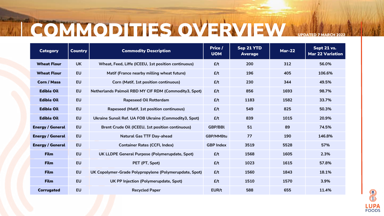## I COMMODITIES OVERVIEW UPDATE

| <b>Category</b>         | <b>Country</b> | <b>Commodity Description</b>                           | Price /<br><b>UOM</b> | Sep 21 YTD<br><b>Average</b> | <b>Mar-22</b> | Sept 21 vs.<br><b>Mar 22 Variation</b> |
|-------------------------|----------------|--------------------------------------------------------|-----------------------|------------------------------|---------------|----------------------------------------|
| <b>Wheat Flour</b>      | <b>UK</b>      | Wheat, Feed, Liffe (ICEEU, 1st position continuous)    | E/t                   | 200                          | 312           | 56.0%                                  |
| <b>Wheat Flour</b>      | <b>EU</b>      | Matif (France nearby milling wheat future)             | E/t                   | 196                          | 405           | 106.6%                                 |
| <b>Corn / Masa</b>      | <b>EU</b>      | <b>Corn (Matif, 1st position continuous)</b>           | E/t                   | 230                          | 344           | 49.5%                                  |
| <b>Edible Oil</b>       | <b>EU</b>      | Netherlands Palmoil RBD MY CIF RDM (Commodity3, Spot)  | E/t                   | 856                          | 1693          | 98.7%                                  |
| <b>Edible Oil</b>       | <b>EU</b>      | <b>Rapeseed Oil Rotterdam</b>                          | E/t                   | 1183                         | 1582          | 33.7%                                  |
| <b>Edible Oil</b>       | <b>EU</b>      | Rapeseed (Matif, 1st position continuous)              | E/t                   | 549                          | 825           | 50.3%                                  |
| <b>Edible Oil</b>       | <b>EU</b>      | Ukraine Sunoil Ref. UA FOB Ukraine (Commodity3, Spot)  | E/t                   | 839                          | 1015          | 20.9%                                  |
| <b>Energy / General</b> | <b>EU</b>      | Brent Crude Oil (ICEEU, 1st position continuous)       | <b>GBP/BBL</b>        | 51                           | 89            | 74.5%                                  |
| <b>Energy / General</b> | <b>EU</b>      | <b>Natural Gas TTF Day-ahead</b>                       | <b>GBP/MMBtu</b>      | 77                           | 190           | 146.8%                                 |
| <b>Energy / General</b> | <b>EU</b>      | <b>Container Rates (CCFI, Index)</b>                   | <b>GBP Index</b>      | 3519                         | 5528          | 57%                                    |
| <b>Film</b>             | <b>EU</b>      | UK LLDPE General Purpose (Polymerupdate, Spot)         | E/t                   | 1568                         | 1605          | 2.3%                                   |
| <b>Film</b>             | <b>EU</b>      | PET (PT, Spot)                                         | E/t                   | 1023                         | 1615          | 57.8%                                  |
| <b>Film</b>             | <b>EU</b>      | UK Copolymer-Grade Polypropylene (Polymerupdate, Spot) | E/t                   | 1560                         | 1843          | 18.1%                                  |
| <b>Film</b>             | <b>EU</b>      | UK PP Injection (Polymerupdate, Spot)                  | E/t                   | 1510                         | 1570          | 3.9%                                   |
| <b>Corrugated</b>       | <b>EU</b>      | <b>Recycled Paper</b>                                  | EUR/t                 | 588                          | 655           | 11.4%                                  |

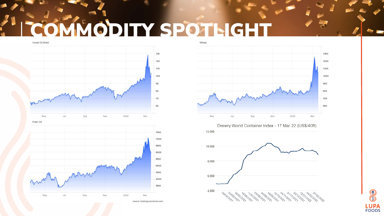# COMMODITY SPOTLIGHT





Palm Oil



12,000 10,000 8,000 6,000 4,000 09/04/2022 24/2027 2027

source: tradingeconomics.com



Drewry World Container Index - 17 Mar 22 (US\$/40ft)



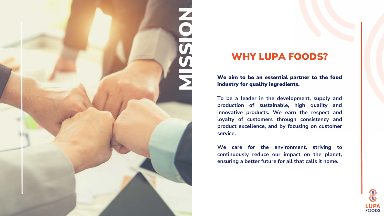## WHY LUPA FOODS?

We aim to be an essential partner to the food industry for quality ingredients.



**To be a leader in the development, supply and production of sustainable, high quality and innovative products. We earn the respect and loyalty of customers through consistency and product excellence, and by focusing on customer service.**

**We care for the environment, striving to continuously reduce our impact on the planet, ensuring a better future for all that calls it home.**